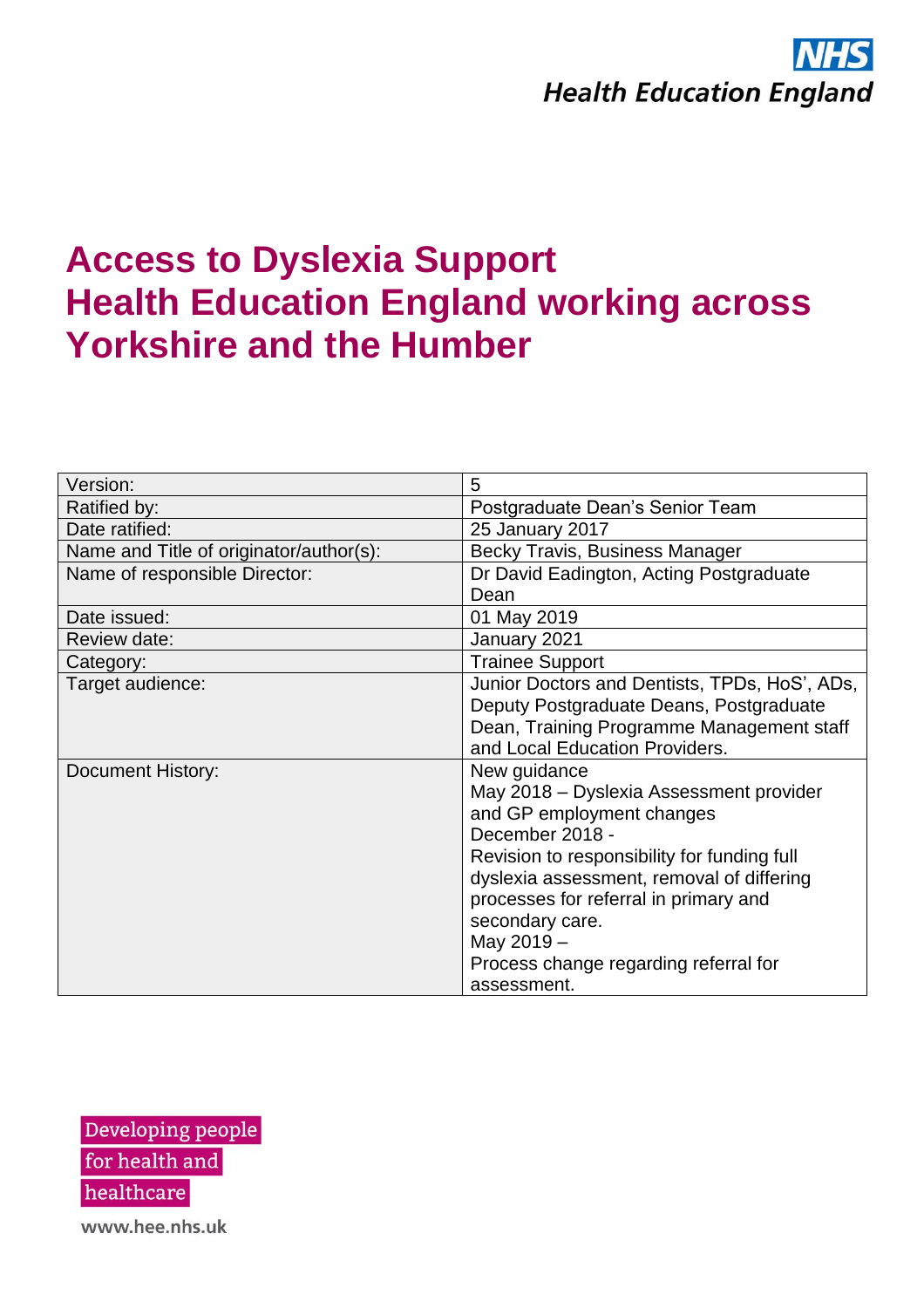# **Access to Dyslexia Support Health Education England working across Yorkshire and the Humber**

| Version:                                | 5                                             |
|-----------------------------------------|-----------------------------------------------|
| Ratified by:                            | Postgraduate Dean's Senior Team               |
| Date ratified:                          | 25 January 2017                               |
| Name and Title of originator/author(s): | Becky Travis, Business Manager                |
| Name of responsible Director:           | Dr David Eadington, Acting Postgraduate       |
|                                         | Dean                                          |
| Date issued:                            | 01 May 2019                                   |
| Review date:                            | January 2021                                  |
| Category:                               | <b>Trainee Support</b>                        |
| Target audience:                        | Junior Doctors and Dentists, TPDs, HoS', ADs, |
|                                         | Deputy Postgraduate Deans, Postgraduate       |
|                                         | Dean, Training Programme Management staff     |
|                                         | and Local Education Providers.                |
| <b>Document History:</b>                | New guidance                                  |
|                                         | May 2018 - Dyslexia Assessment provider       |
|                                         | and GP employment changes                     |
|                                         | December 2018 -                               |
|                                         | Revision to responsibility for funding full   |
|                                         | dyslexia assessment, removal of differing     |
|                                         | processes for referral in primary and         |
|                                         | secondary care.                               |
|                                         | May 2019 -                                    |
|                                         | Process change regarding referral for         |
|                                         | assessment.                                   |

Developing people for health and healthcare www.hee.nhs.uk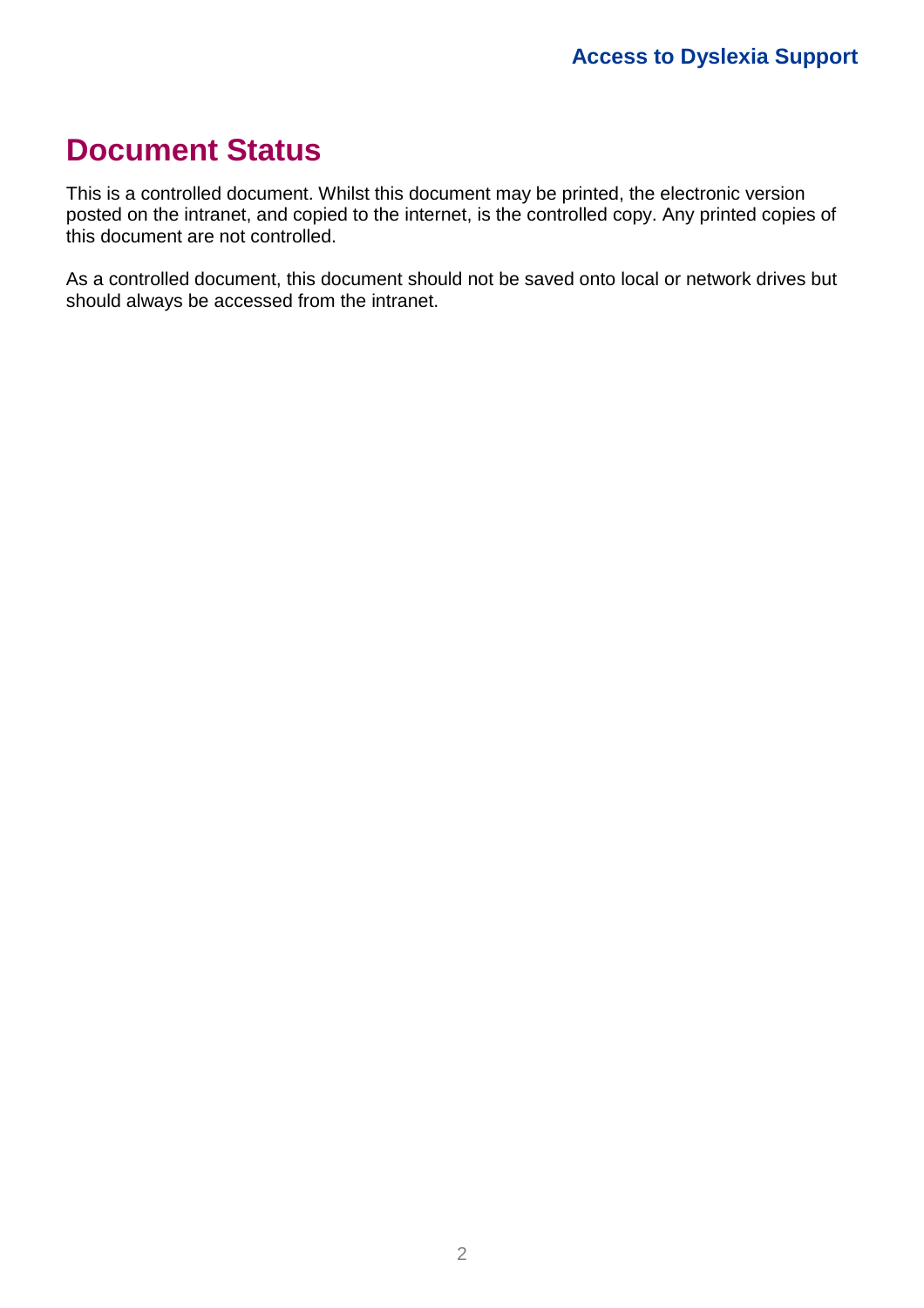#### <span id="page-1-0"></span>**Document Status**

This is a controlled document. Whilst this document may be printed, the electronic version posted on the intranet, and copied to the internet, is the controlled copy. Any printed copies of this document are not controlled.

As a controlled document, this document should not be saved onto local or network drives but should always be accessed from the intranet.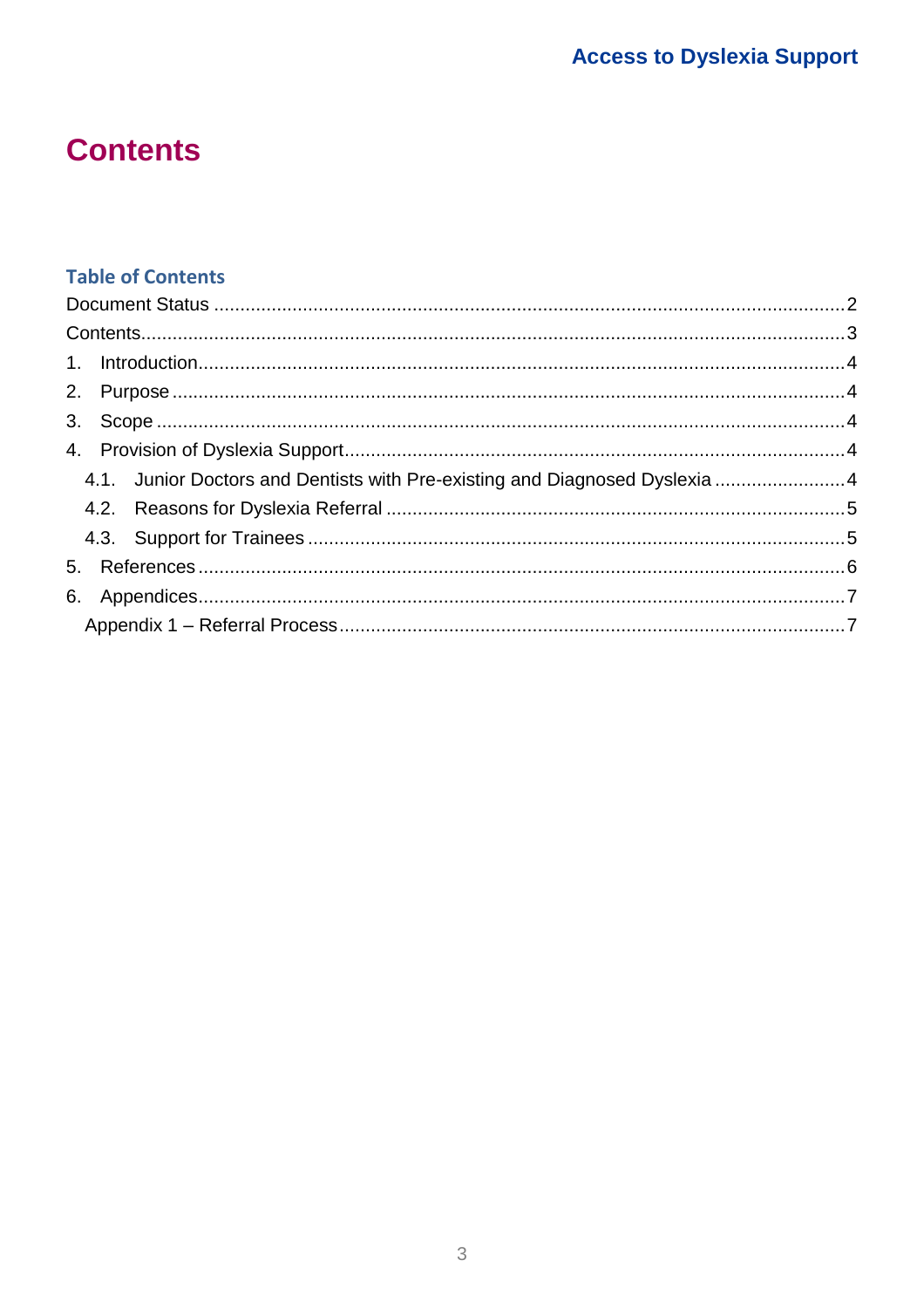## <span id="page-2-0"></span>**Contents**

#### **Table of Contents**

| 4.1. Junior Doctors and Dentists with Pre-existing and Diagnosed Dyslexia 4 |  |
|-----------------------------------------------------------------------------|--|
|                                                                             |  |
|                                                                             |  |
|                                                                             |  |
|                                                                             |  |
|                                                                             |  |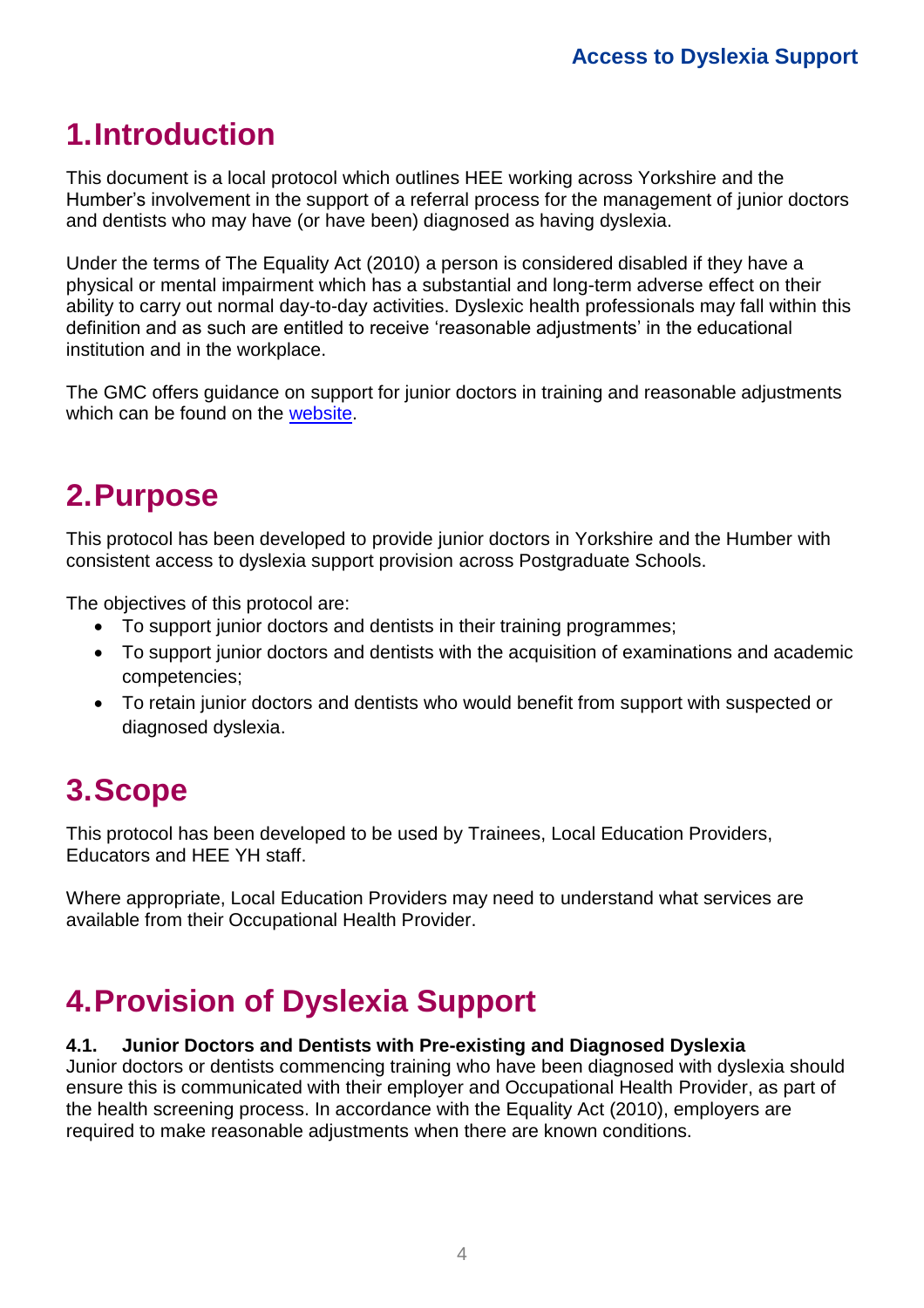## <span id="page-3-0"></span>**1.Introduction**

This document is a local protocol which outlines HEE working across Yorkshire and the Humber's involvement in the support of a referral process for the management of junior doctors and dentists who may have (or have been) diagnosed as having dyslexia.

Under the terms of The Equality Act (2010) a person is considered disabled if they have a physical or mental impairment which has a substantial and long-term adverse effect on their ability to carry out normal day-to-day activities. Dyslexic health professionals may fall within this definition and as such are entitled to receive 'reasonable adjustments' in the educational institution and in the workplace.

The GMC offers guidance on support for junior doctors in training and reasonable adjustments which can be found on the [website.](http://www.gmc-uk.org/education/undergraduate/15_7_support_for_trainees.asp)

#### <span id="page-3-1"></span>**2.Purpose**

This protocol has been developed to provide junior doctors in Yorkshire and the Humber with consistent access to dyslexia support provision across Postgraduate Schools.

The objectives of this protocol are:

- To support junior doctors and dentists in their training programmes;
- To support junior doctors and dentists with the acquisition of examinations and academic competencies;
- To retain junior doctors and dentists who would benefit from support with suspected or diagnosed dyslexia.

#### <span id="page-3-2"></span>**3.Scope**

This protocol has been developed to be used by Trainees, Local Education Providers, Educators and HEE YH staff.

Where appropriate, Local Education Providers may need to understand what services are available from their Occupational Health Provider.

## <span id="page-3-3"></span>**4.Provision of Dyslexia Support**

#### <span id="page-3-4"></span>**4.1. Junior Doctors and Dentists with Pre-existing and Diagnosed Dyslexia**

Junior doctors or dentists commencing training who have been diagnosed with dyslexia should ensure this is communicated with their employer and Occupational Health Provider, as part of the health screening process. In accordance with the Equality Act (2010), employers are required to make reasonable adjustments when there are known conditions.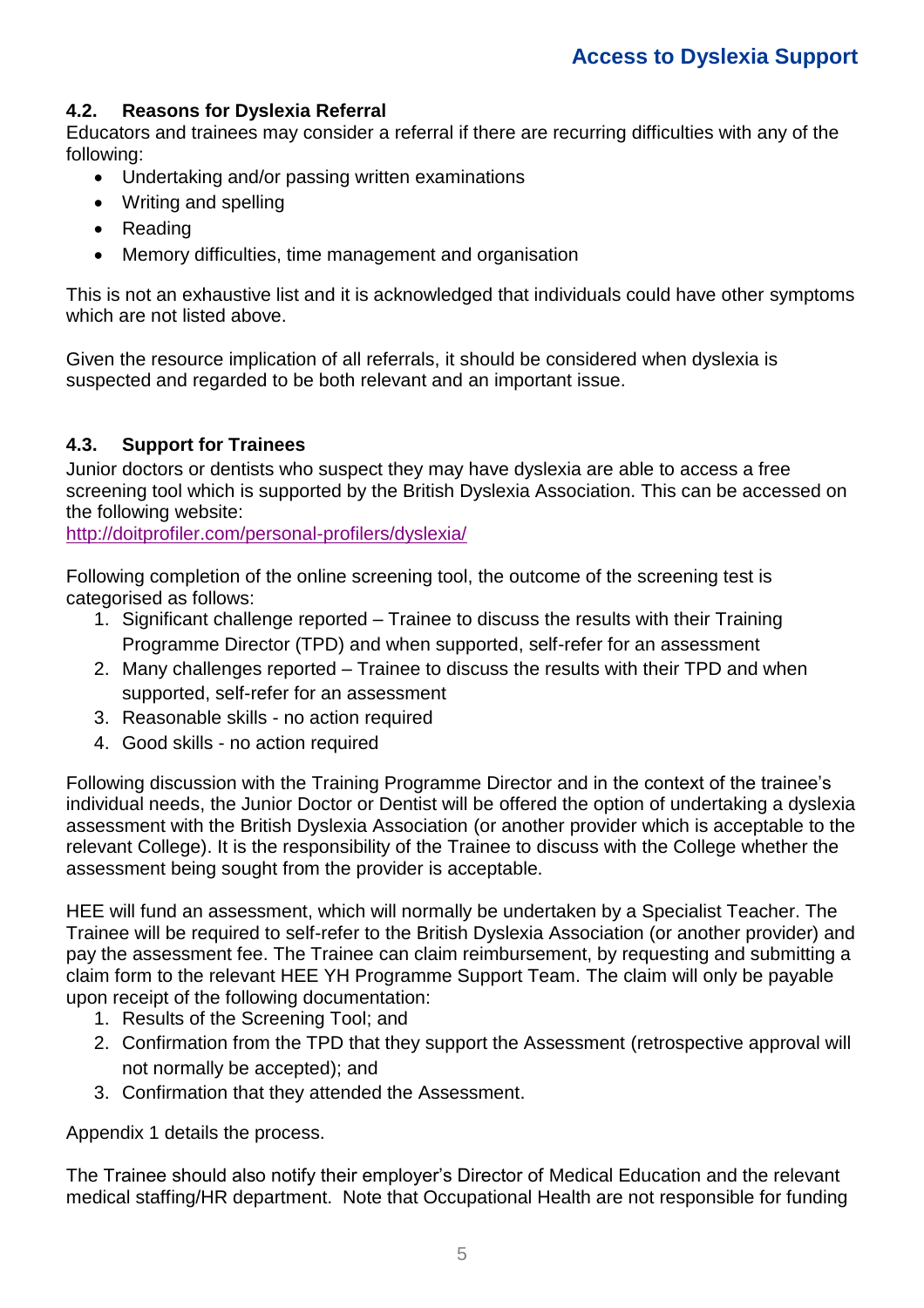#### <span id="page-4-0"></span>**4.2. Reasons for Dyslexia Referral**

Educators and trainees may consider a referral if there are recurring difficulties with any of the following:

- Undertaking and/or passing written examinations
- Writing and spelling
- Reading
- Memory difficulties, time management and organisation

This is not an exhaustive list and it is acknowledged that individuals could have other symptoms which are not listed above.

Given the resource implication of all referrals, it should be considered when dyslexia is suspected and regarded to be both relevant and an important issue.

#### <span id="page-4-1"></span>**4.3. Support for Trainees**

Junior doctors or dentists who suspect they may have dyslexia are able to access a free screening tool which is supported by the British Dyslexia Association. This can be accessed on the following website:

<http://doitprofiler.com/personal-profilers/dyslexia/>

Following completion of the online screening tool, the outcome of the screening test is categorised as follows:

- 1. Significant challenge reported Trainee to discuss the results with their Training Programme Director (TPD) and when supported, self-refer for an assessment
- 2. Many challenges reported Trainee to discuss the results with their TPD and when supported, self-refer for an assessment
- 3. Reasonable skills no action required
- 4. Good skills no action required

Following discussion with the Training Programme Director and in the context of the trainee's individual needs, the Junior Doctor or Dentist will be offered the option of undertaking a dyslexia assessment with the British Dyslexia Association (or another provider which is acceptable to the relevant College). It is the responsibility of the Trainee to discuss with the College whether the assessment being sought from the provider is acceptable.

HEE will fund an assessment, which will normally be undertaken by a Specialist Teacher. The Trainee will be required to self-refer to the British Dyslexia Association (or another provider) and pay the assessment fee. The Trainee can claim reimbursement, by requesting and submitting a claim form to the relevant HEE YH Programme Support Team. The claim will only be payable upon receipt of the following documentation:

- 1. Results of the Screening Tool; and
- 2. Confirmation from the TPD that they support the Assessment (retrospective approval will not normally be accepted); and
- 3. Confirmation that they attended the Assessment.

Appendix 1 details the process.

The Trainee should also notify their employer's Director of Medical Education and the relevant medical staffing/HR department. Note that Occupational Health are not responsible for funding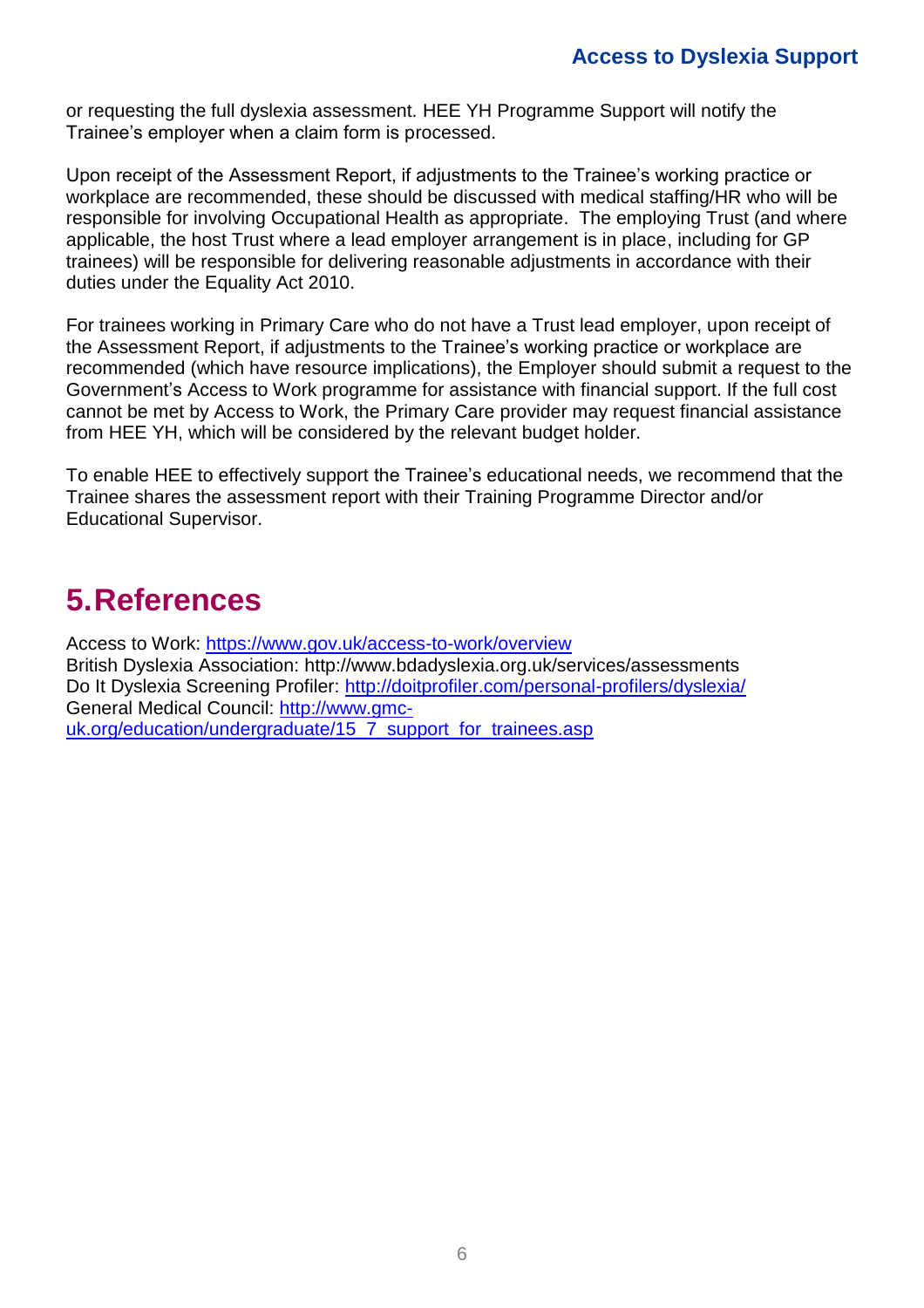or requesting the full dyslexia assessment. HEE YH Programme Support will notify the Trainee's employer when a claim form is processed.

Upon receipt of the Assessment Report, if adjustments to the Trainee's working practice or workplace are recommended, these should be discussed with medical staffing/HR who will be responsible for involving Occupational Health as appropriate. The employing Trust (and where applicable, the host Trust where a lead employer arrangement is in place, including for GP trainees) will be responsible for delivering reasonable adjustments in accordance with their duties under the Equality Act 2010.

For trainees working in Primary Care who do not have a Trust lead employer, upon receipt of the Assessment Report, if adjustments to the Trainee's working practice or workplace are recommended (which have resource implications), the Employer should submit a request to the Government's Access to Work programme for assistance with financial support. If the full cost cannot be met by Access to Work, the Primary Care provider may request financial assistance from HEE YH, which will be considered by the relevant budget holder.

To enable HEE to effectively support the Trainee's educational needs, we recommend that the Trainee shares the assessment report with their Training Programme Director and/or Educational Supervisor.

#### <span id="page-5-0"></span>**5.References**

Access to Work:<https://www.gov.uk/access-to-work/overview> British Dyslexia Association: http://www.bdadyslexia.org.uk/services/assessments Do It Dyslexia Screening Profiler:<http://doitprofiler.com/personal-profilers/dyslexia/> General Medical Council: [http://www.gmc](http://www.gmc-uk.org/education/undergraduate/15_7_support_for_trainees.asp)[uk.org/education/undergraduate/15\\_7\\_support\\_for\\_trainees.asp](http://www.gmc-uk.org/education/undergraduate/15_7_support_for_trainees.asp)